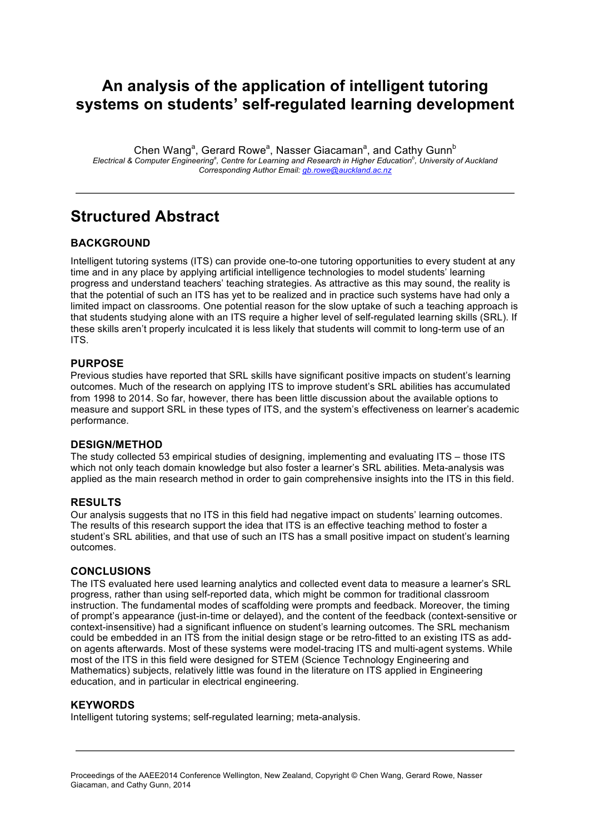## **An analysis of the application of intelligent tutoring systems on students' self-regulated learning development**

Chen Wang<sup>a</sup>, Gerard Rowe<sup>a</sup>, Nasser Giacaman<sup>a</sup>, and Cathy Gunn<sup>b</sup> *Electrical & Computer Engineering<sup>a</sup> , Centre for Learning and Research in Higher Education<sup>b</sup> , University of Auckland Corresponding Author Email: gb.rowe@auckland.ac.nz*

## **Structured Abstract**

## **BACKGROUND**

Intelligent tutoring systems (ITS) can provide one-to-one tutoring opportunities to every student at any time and in any place by applying artificial intelligence technologies to model students' learning progress and understand teachers' teaching strategies. As attractive as this may sound, the reality is that the potential of such an ITS has yet to be realized and in practice such systems have had only a limited impact on classrooms. One potential reason for the slow uptake of such a teaching approach is that students studying alone with an ITS require a higher level of self-regulated learning skills (SRL). If these skills aren't properly inculcated it is less likely that students will commit to long-term use of an ITS.

#### **PURPOSE**

Previous studies have reported that SRL skills have significant positive impacts on student's learning outcomes. Much of the research on applying ITS to improve student's SRL abilities has accumulated from 1998 to 2014. So far, however, there has been little discussion about the available options to measure and support SRL in these types of ITS, and the system's effectiveness on learner's academic performance.

#### **DESIGN/METHOD**

The study collected 53 empirical studies of designing, implementing and evaluating ITS – those ITS which not only teach domain knowledge but also foster a learner's SRL abilities. Meta-analysis was applied as the main research method in order to gain comprehensive insights into the ITS in this field.

#### **RESULTS**

Our analysis suggests that no ITS in this field had negative impact on students' learning outcomes. The results of this research support the idea that ITS is an effective teaching method to foster a student's SRL abilities, and that use of such an ITS has a small positive impact on student's learning outcomes.

#### **CONCLUSIONS**

The ITS evaluated here used learning analytics and collected event data to measure a learner's SRL progress, rather than using self-reported data, which might be common for traditional classroom instruction. The fundamental modes of scaffolding were prompts and feedback. Moreover, the timing of prompt's appearance (just-in-time or delayed), and the content of the feedback (context-sensitive or context-insensitive) had a significant influence on student's learning outcomes. The SRL mechanism could be embedded in an ITS from the initial design stage or be retro-fitted to an existing ITS as addon agents afterwards. Most of these systems were model-tracing ITS and multi-agent systems. While most of the ITS in this field were designed for STEM (Science Technology Engineering and Mathematics) subjects, relatively little was found in the literature on ITS applied in Engineering education, and in particular in electrical engineering.

#### **KEYWORDS**

Intelligent tutoring systems; self-regulated learning; meta-analysis.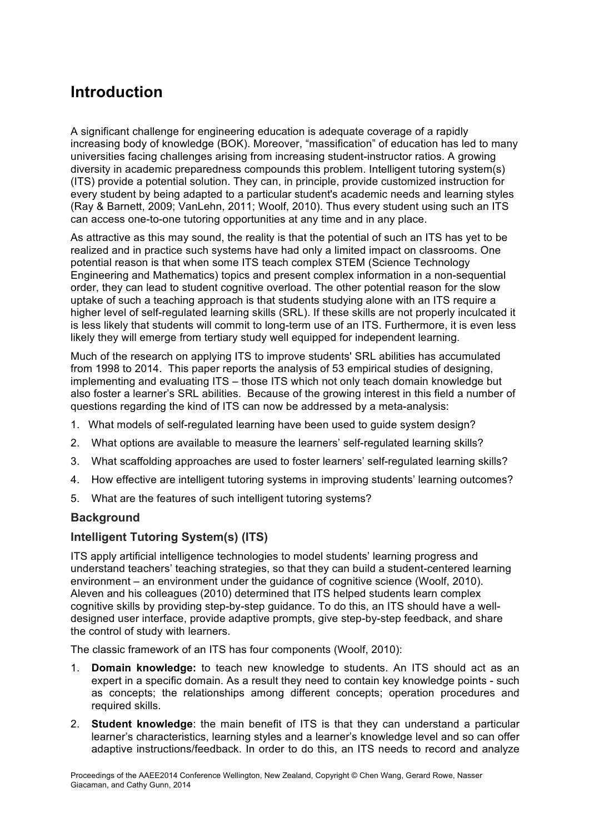# **Introduction**

A significant challenge for engineering education is adequate coverage of a rapidly increasing body of knowledge (BOK). Moreover, "massification" of education has led to many universities facing challenges arising from increasing student-instructor ratios. A growing diversity in academic preparedness compounds this problem. Intelligent tutoring system(s) (ITS) provide a potential solution. They can, in principle, provide customized instruction for every student by being adapted to a particular student's academic needs and learning styles (Ray & Barnett, 2009; VanLehn, 2011; Woolf, 2010). Thus every student using such an ITS can access one-to-one tutoring opportunities at any time and in any place.

As attractive as this may sound, the reality is that the potential of such an ITS has yet to be realized and in practice such systems have had only a limited impact on classrooms. One potential reason is that when some ITS teach complex STEM (Science Technology Engineering and Mathematics) topics and present complex information in a non-sequential order, they can lead to student cognitive overload. The other potential reason for the slow uptake of such a teaching approach is that students studying alone with an ITS require a higher level of self-regulated learning skills (SRL). If these skills are not properly inculcated it is less likely that students will commit to long-term use of an ITS. Furthermore, it is even less likely they will emerge from tertiary study well equipped for independent learning.

Much of the research on applying ITS to improve students' SRL abilities has accumulated from 1998 to 2014. This paper reports the analysis of 53 empirical studies of designing, implementing and evaluating ITS – those ITS which not only teach domain knowledge but also foster a learner's SRL abilities. Because of the growing interest in this field a number of questions regarding the kind of ITS can now be addressed by a meta-analysis:

- 1. What models of self-regulated learning have been used to guide system design?
- 2. What options are available to measure the learners' self-regulated learning skills?
- 3. What scaffolding approaches are used to foster learners' self-regulated learning skills?
- 4. How effective are intelligent tutoring systems in improving students' learning outcomes?
- 5. What are the features of such intelligent tutoring systems?

## **Background**

## **Intelligent Tutoring System(s) (ITS)**

ITS apply artificial intelligence technologies to model students' learning progress and understand teachers' teaching strategies, so that they can build a student-centered learning environment – an environment under the guidance of cognitive science (Woolf, 2010). Aleven and his colleagues (2010) determined that ITS helped students learn complex cognitive skills by providing step-by-step guidance. To do this, an ITS should have a welldesigned user interface, provide adaptive prompts, give step-by-step feedback, and share the control of study with learners.

The classic framework of an ITS has four components (Woolf, 2010):

- 1. **Domain knowledge:** to teach new knowledge to students. An ITS should act as an expert in a specific domain. As a result they need to contain key knowledge points - such as concepts; the relationships among different concepts; operation procedures and required skills.
- 2. **Student knowledge**: the main benefit of ITS is that they can understand a particular learner's characteristics, learning styles and a learner's knowledge level and so can offer adaptive instructions/feedback. In order to do this, an ITS needs to record and analyze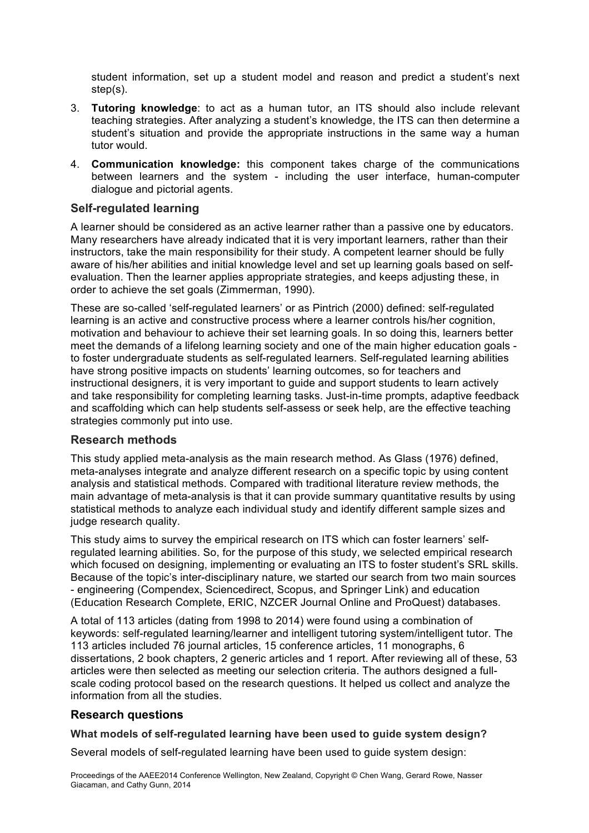student information, set up a student model and reason and predict a student's next step(s).

- 3. **Tutoring knowledge**: to act as a human tutor, an ITS should also include relevant teaching strategies. After analyzing a student's knowledge, the ITS can then determine a student's situation and provide the appropriate instructions in the same way a human tutor would.
- 4. **Communication knowledge:** this component takes charge of the communications between learners and the system - including the user interface, human-computer dialogue and pictorial agents.

### **Self-regulated learning**

A learner should be considered as an active learner rather than a passive one by educators. Many researchers have already indicated that it is very important learners, rather than their instructors, take the main responsibility for their study. A competent learner should be fully aware of his/her abilities and initial knowledge level and set up learning goals based on selfevaluation. Then the learner applies appropriate strategies, and keeps adjusting these, in order to achieve the set goals (Zimmerman, 1990).

These are so-called 'self-regulated learners' or as Pintrich (2000) defined: self-regulated learning is an active and constructive process where a learner controls his/her cognition, motivation and behaviour to achieve their set learning goals. In so doing this, learners better meet the demands of a lifelong learning society and one of the main higher education goals to foster undergraduate students as self-regulated learners. Self-regulated learning abilities have strong positive impacts on students' learning outcomes, so for teachers and instructional designers, it is very important to guide and support students to learn actively and take responsibility for completing learning tasks. Just-in-time prompts, adaptive feedback and scaffolding which can help students self-assess or seek help, are the effective teaching strategies commonly put into use.

## **Research methods**

This study applied meta-analysis as the main research method. As Glass (1976) defined, meta-analyses integrate and analyze different research on a specific topic by using content analysis and statistical methods. Compared with traditional literature review methods, the main advantage of meta-analysis is that it can provide summary quantitative results by using statistical methods to analyze each individual study and identify different sample sizes and judge research quality.

This study aims to survey the empirical research on ITS which can foster learners' selfregulated learning abilities. So, for the purpose of this study, we selected empirical research which focused on designing, implementing or evaluating an ITS to foster student's SRL skills. Because of the topic's inter-disciplinary nature, we started our search from two main sources - engineering (Compendex, Sciencedirect, Scopus, and Springer Link) and education (Education Research Complete, ERIC, NZCER Journal Online and ProQuest) databases.

A total of 113 articles (dating from 1998 to 2014) were found using a combination of keywords: self-regulated learning/learner and intelligent tutoring system/intelligent tutor. The 113 articles included 76 journal articles, 15 conference articles, 11 monographs, 6 dissertations, 2 book chapters, 2 generic articles and 1 report. After reviewing all of these, 53 articles were then selected as meeting our selection criteria. The authors designed a fullscale coding protocol based on the research questions. It helped us collect and analyze the information from all the studies.

## **Research questions**

#### **What models of self-regulated learning have been used to guide system design?**

Several models of self-regulated learning have been used to guide system design: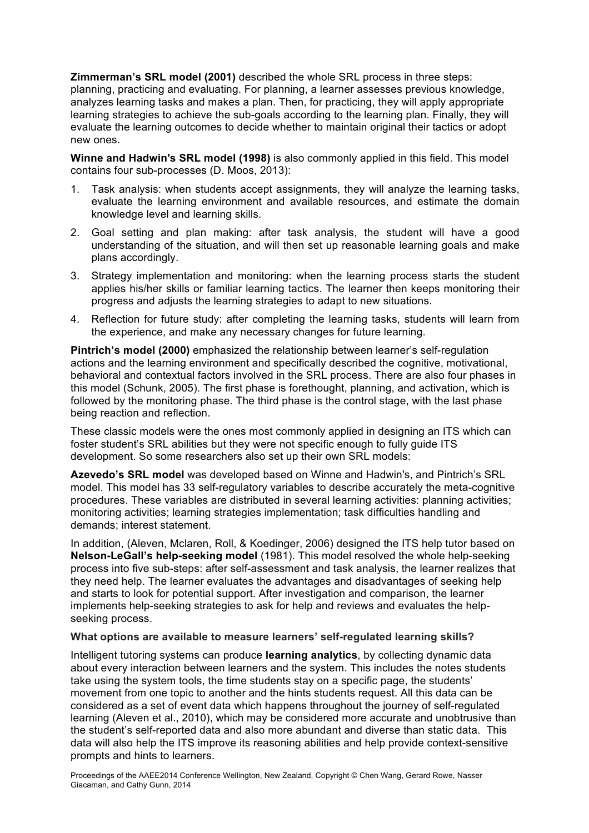**Zimmerman's SRL model (2001)** described the whole SRL process in three steps: planning, practicing and evaluating. For planning, a learner assesses previous knowledge, analyzes learning tasks and makes a plan. Then, for practicing, they will apply appropriate learning strategies to achieve the sub-goals according to the learning plan. Finally, they will evaluate the learning outcomes to decide whether to maintain original their tactics or adopt new ones.

**Winne and Hadwin's SRL model (1998)** is also commonly applied in this field. This model contains four sub-processes (D. Moos, 2013):

- 1. Task analysis: when students accept assignments, they will analyze the learning tasks, evaluate the learning environment and available resources, and estimate the domain knowledge level and learning skills.
- 2. Goal setting and plan making: after task analysis, the student will have a good understanding of the situation, and will then set up reasonable learning goals and make plans accordingly.
- 3. Strategy implementation and monitoring: when the learning process starts the student applies his/her skills or familiar learning tactics. The learner then keeps monitoring their progress and adjusts the learning strategies to adapt to new situations.
- 4. Reflection for future study: after completing the learning tasks, students will learn from the experience, and make any necessary changes for future learning.

**Pintrich's model (2000)** emphasized the relationship between learner's self-regulation actions and the learning environment and specifically described the cognitive, motivational, behavioral and contextual factors involved in the SRL process. There are also four phases in this model (Schunk, 2005). The first phase is forethought, planning, and activation, which is followed by the monitoring phase. The third phase is the control stage, with the last phase being reaction and reflection.

These classic models were the ones most commonly applied in designing an ITS which can foster student's SRL abilities but they were not specific enough to fully guide ITS development. So some researchers also set up their own SRL models:

**Azevedo's SRL model** was developed based on Winne and Hadwin's, and Pintrich's SRL model. This model has 33 self-regulatory variables to describe accurately the meta-cognitive procedures. These variables are distributed in several learning activities: planning activities; monitoring activities; learning strategies implementation; task difficulties handling and demands; interest statement.

In addition, (Aleven, Mclaren, Roll, & Koedinger, 2006) designed the ITS help tutor based on **Nelson-LeGall's help-seeking model** (1981). This model resolved the whole help-seeking process into five sub-steps: after self-assessment and task analysis, the learner realizes that they need help. The learner evaluates the advantages and disadvantages of seeking help and starts to look for potential support. After investigation and comparison, the learner implements help-seeking strategies to ask for help and reviews and evaluates the helpseeking process.

#### **What options are available to measure learners' self-regulated learning skills?**

Intelligent tutoring systems can produce **learning analytics**, by collecting dynamic data about every interaction between learners and the system. This includes the notes students take using the system tools, the time students stay on a specific page, the students' movement from one topic to another and the hints students request. All this data can be considered as a set of event data which happens throughout the journey of self-regulated learning (Aleven et al., 2010), which may be considered more accurate and unobtrusive than the student's self-reported data and also more abundant and diverse than static data. This data will also help the ITS improve its reasoning abilities and help provide context-sensitive prompts and hints to learners.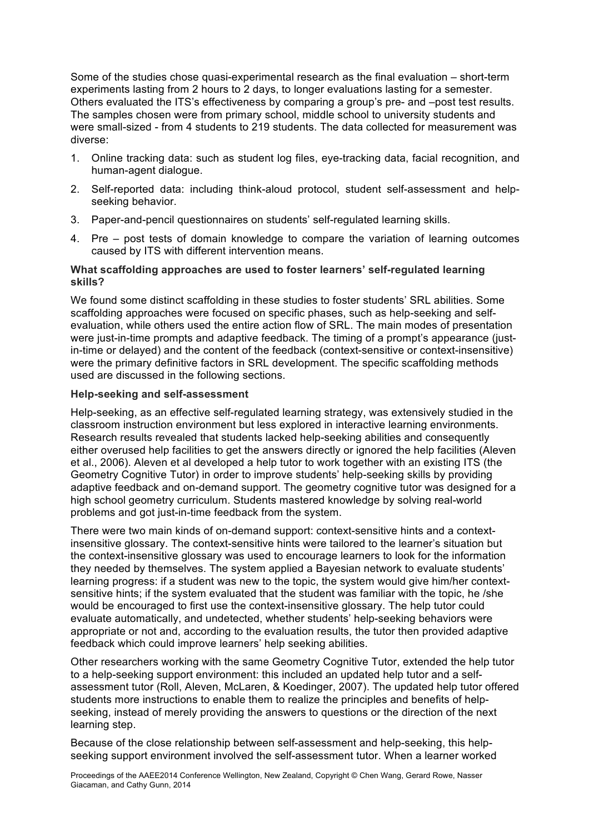Some of the studies chose quasi-experimental research as the final evaluation – short-term experiments lasting from 2 hours to 2 days, to longer evaluations lasting for a semester. Others evaluated the ITS's effectiveness by comparing a group's pre- and –post test results. The samples chosen were from primary school, middle school to university students and were small-sized - from 4 students to 219 students. The data collected for measurement was diverse:

- 1. Online tracking data: such as student log files, eye-tracking data, facial recognition, and human-agent dialogue.
- 2. Self-reported data: including think-aloud protocol, student self-assessment and helpseeking behavior.
- 3. Paper-and-pencil questionnaires on students' self-regulated learning skills.
- 4. Pre post tests of domain knowledge to compare the variation of learning outcomes caused by ITS with different intervention means.

#### **What scaffolding approaches are used to foster learners' self-regulated learning skills?**

We found some distinct scaffolding in these studies to foster students' SRL abilities. Some scaffolding approaches were focused on specific phases, such as help-seeking and selfevaluation, while others used the entire action flow of SRL. The main modes of presentation were just-in-time prompts and adaptive feedback. The timing of a prompt's appearance (justin-time or delayed) and the content of the feedback (context-sensitive or context-insensitive) were the primary definitive factors in SRL development. The specific scaffolding methods used are discussed in the following sections.

#### **Help-seeking and self-assessment**

Help-seeking, as an effective self-regulated learning strategy, was extensively studied in the classroom instruction environment but less explored in interactive learning environments. Research results revealed that students lacked help-seeking abilities and consequently either overused help facilities to get the answers directly or ignored the help facilities (Aleven et al., 2006). Aleven et al developed a help tutor to work together with an existing ITS (the Geometry Cognitive Tutor) in order to improve students' help-seeking skills by providing adaptive feedback and on-demand support. The geometry cognitive tutor was designed for a high school geometry curriculum. Students mastered knowledge by solving real-world problems and got just-in-time feedback from the system.

There were two main kinds of on-demand support: context-sensitive hints and a contextinsensitive glossary. The context-sensitive hints were tailored to the learner's situation but the context-insensitive glossary was used to encourage learners to look for the information they needed by themselves. The system applied a Bayesian network to evaluate students' learning progress: if a student was new to the topic, the system would give him/her contextsensitive hints; if the system evaluated that the student was familiar with the topic, he /she would be encouraged to first use the context-insensitive glossary. The help tutor could evaluate automatically, and undetected, whether students' help-seeking behaviors were appropriate or not and, according to the evaluation results, the tutor then provided adaptive feedback which could improve learners' help seeking abilities.

Other researchers working with the same Geometry Cognitive Tutor, extended the help tutor to a help-seeking support environment: this included an updated help tutor and a selfassessment tutor (Roll, Aleven, McLaren, & Koedinger, 2007). The updated help tutor offered students more instructions to enable them to realize the principles and benefits of helpseeking, instead of merely providing the answers to questions or the direction of the next learning step.

Because of the close relationship between self-assessment and help-seeking, this helpseeking support environment involved the self-assessment tutor. When a learner worked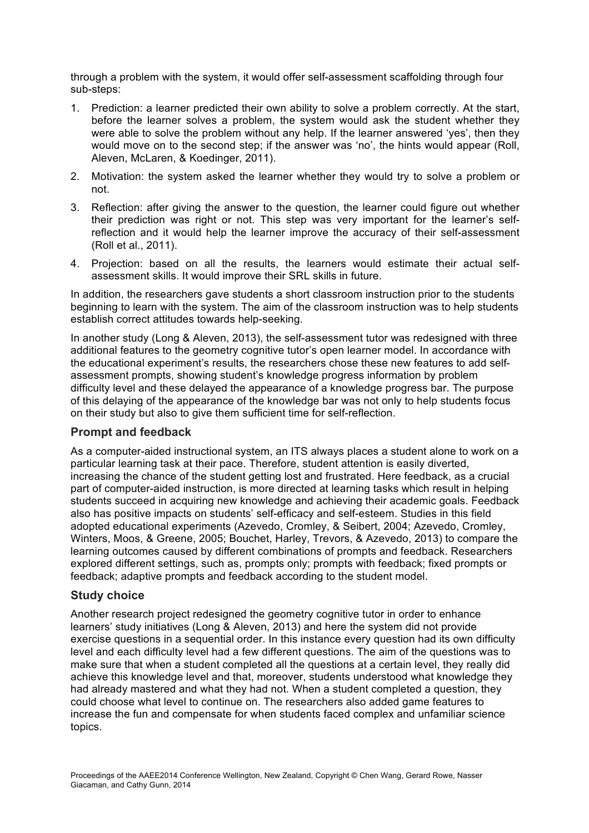through a problem with the system, it would offer self-assessment scaffolding through four sub-steps:

- 1. Prediction: a learner predicted their own ability to solve a problem correctly. At the start, before the learner solves a problem, the system would ask the student whether they were able to solve the problem without any help. If the learner answered 'yes', then they would move on to the second step; if the answer was 'no', the hints would appear (Roll, Aleven, McLaren, & Koedinger, 2011).
- 2. Motivation: the system asked the learner whether they would try to solve a problem or not.
- 3. Reflection: after giving the answer to the question, the learner could figure out whether their prediction was right or not. This step was very important for the learner's selfreflection and it would help the learner improve the accuracy of their self-assessment (Roll et al., 2011).
- 4. Projection: based on all the results, the learners would estimate their actual selfassessment skills. It would improve their SRL skills in future.

In addition, the researchers gave students a short classroom instruction prior to the students beginning to learn with the system. The aim of the classroom instruction was to help students establish correct attitudes towards help-seeking.

In another study (Long & Aleven, 2013), the self-assessment tutor was redesigned with three additional features to the geometry cognitive tutor's open learner model. In accordance with the educational experiment's results, the researchers chose these new features to add selfassessment prompts, showing student's knowledge progress information by problem difficulty level and these delayed the appearance of a knowledge progress bar. The purpose of this delaying of the appearance of the knowledge bar was not only to help students focus on their study but also to give them sufficient time for self-reflection.

## **Prompt and feedback**

As a computer-aided instructional system, an ITS always places a student alone to work on a particular learning task at their pace. Therefore, student attention is easily diverted, increasing the chance of the student getting lost and frustrated. Here feedback, as a crucial part of computer-aided instruction, is more directed at learning tasks which result in helping students succeed in acquiring new knowledge and achieving their academic goals. Feedback also has positive impacts on students' self-efficacy and self-esteem. Studies in this field adopted educational experiments (Azevedo, Cromley, & Seibert, 2004; Azevedo, Cromley, Winters, Moos, & Greene, 2005; Bouchet, Harley, Trevors, & Azevedo, 2013) to compare the learning outcomes caused by different combinations of prompts and feedback. Researchers explored different settings, such as, prompts only; prompts with feedback; fixed prompts or feedback; adaptive prompts and feedback according to the student model.

#### **Study choice**

Another research project redesigned the geometry cognitive tutor in order to enhance learners' study initiatives (Long & Aleven, 2013) and here the system did not provide exercise questions in a sequential order. In this instance every question had its own difficulty level and each difficulty level had a few different questions. The aim of the questions was to make sure that when a student completed all the questions at a certain level, they really did achieve this knowledge level and that, moreover, students understood what knowledge they had already mastered and what they had not. When a student completed a question, they could choose what level to continue on. The researchers also added game features to increase the fun and compensate for when students faced complex and unfamiliar science topics.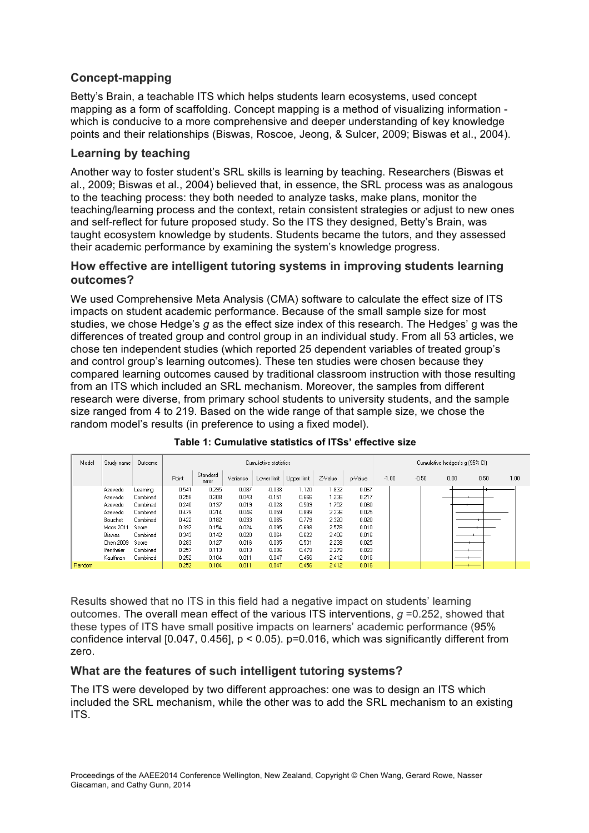## **Concept-mapping**

Betty's Brain, a teachable ITS which helps students learn ecosystems, used concept mapping as a form of scaffolding. Concept mapping is a method of visualizing information which is conducive to a more comprehensive and deeper understanding of key knowledge points and their relationships (Biswas, Roscoe, Jeong, & Sulcer, 2009; Biswas et al., 2004).

## **Learning by teaching**

Another way to foster student's SRL skills is learning by teaching. Researchers (Biswas et al., 2009; Biswas et al., 2004) believed that, in essence, the SRL process was as analogous to the teaching process: they both needed to analyze tasks, make plans, monitor the teaching/learning process and the context, retain consistent strategies or adjust to new ones and self-reflect for future proposed study. So the ITS they designed, Betty's Brain, was taught ecosystem knowledge by students. Students became the tutors, and they assessed their academic performance by examining the system's knowledge progress.

### **How effective are intelligent tutoring systems in improving students learning outcomes?**

We used Comprehensive Meta Analysis (CMA) software to calculate the effect size of ITS impacts on student academic performance. Because of the small sample size for most studies, we chose Hedge's *g* as the effect size index of this research. The Hedges' g was the differences of treated group and control group in an individual study. From all 53 articles, we chose ten independent studies (which reported 25 dependent variables of treated group's and control group's learning outcomes). These ten studies were chosen because they compared learning outcomes caused by traditional classroom instruction with those resulting from an ITS which included an SRL mechanism. Moreover, the samples from different research were diverse, from primary school students to university students, and the sample size ranged from 4 to 219. Based on the wide range of that sample size, we chose the random model's results (in preference to using a fixed model).

| Model  | Study name | <b>Outcome</b> | Cumulative statistics |                   |          |             |             |         |         | Cumulative hedges's g (95% CI) |         |      |      |      |
|--------|------------|----------------|-----------------------|-------------------|----------|-------------|-------------|---------|---------|--------------------------------|---------|------|------|------|
|        |            |                | Point                 | Standard<br>error | Variance | Lower limit | Upper limit | Z-Value | p-Value | $-1.00$                        | $-0.50$ | 0.00 | 0.50 | 1.00 |
|        | Azevedo    | Learning       | 0.541                 | 0.295             | 0.087    | $-0.038$    | 1.120       | 1.832   | 0.067   |                                |         |      |      |      |
|        | Azevedo    | Combined       | 0.258                 | 0.208             | 0.043    | $-0.151$    | 0.666       | 1.236   | 0.217   |                                |         |      |      |      |
|        | Azevedo    | Combined       | 0.240                 | 0.137             | 0.019    | $-0.028$    | 0.509       | 1.752   | 0.080   |                                |         |      |      |      |
|        | Azevedo    | Combined       | 0.479                 | 0.214             | 0.046    | 0.059       | 0.899       | 2.236   | 0.025   |                                |         |      |      |      |
|        | Bouchet    | Combined       | 0.422                 | 0.182             | 0.033    | 0.065       | 0.779       | 2.320   | 0.020   |                                |         |      |      |      |
|        | Moos 2011  | Score          | 0.397                 | 0.154             | 0.024    | 0.095       | 0.698       | 2.578   | 0.010   |                                |         |      |      |      |
|        | Biswas     | Combined       | 0.343                 | 0.142             | 0.020    | 0.064       | 0.622       | 2.406   | 0.016   |                                |         |      |      |      |
|        | Chen 2009  | Score          | 0.283                 | 0.127             | 0.016    | 0.035       | 0.531       | 2.238   | 0.025   |                                |         |      |      |      |
|        | Ifenthaler | Combined       | 0.257                 | 0.113             | 0.013    | 0.036       | 0.479       | 2.279   | 0.023   |                                |         |      |      |      |
|        | Kauffman   | Combined       | 0.252                 | 0.104             | 0.011    | 0.047       | 0.456       | 2.412   | 0.016   |                                |         |      |      |      |
| Random |            |                | 0.252                 | 0.104             | 0.011    | 0.047       | 0.456       | 2.412   | 0.016   |                                |         |      |      |      |

#### **Table 1: Cumulative statistics of ITSs' effective size**

Results showed that no ITS in this field had a negative impact on students' learning outcomes. The overall mean effect of the various ITS interventions,  $q = 0.252$ , showed that these types of ITS have small positive impacts on learners' academic performance (95% confidence interval [0.047, 0.456],  $p < 0.05$ ).  $p = 0.016$ , which was significantly different from zero.

## **What are the features of such intelligent tutoring systems?**

The ITS were developed by two different approaches: one was to design an ITS which included the SRL mechanism, while the other was to add the SRL mechanism to an existing ITS.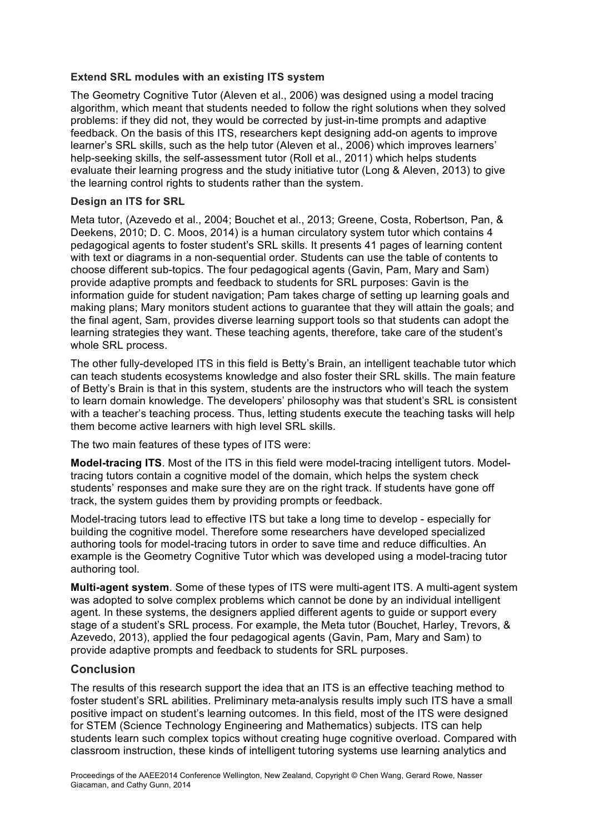#### **Extend SRL modules with an existing ITS system**

The Geometry Cognitive Tutor (Aleven et al., 2006) was designed using a model tracing algorithm, which meant that students needed to follow the right solutions when they solved problems: if they did not, they would be corrected by just-in-time prompts and adaptive feedback. On the basis of this ITS, researchers kept designing add-on agents to improve learner's SRL skills, such as the help tutor (Aleven et al., 2006) which improves learners' help-seeking skills, the self-assessment tutor (Roll et al., 2011) which helps students evaluate their learning progress and the study initiative tutor (Long & Aleven, 2013) to give the learning control rights to students rather than the system.

#### **Design an ITS for SRL**

Meta tutor, (Azevedo et al., 2004; Bouchet et al., 2013; Greene, Costa, Robertson, Pan, & Deekens, 2010; D. C. Moos, 2014) is a human circulatory system tutor which contains 4 pedagogical agents to foster student's SRL skills. It presents 41 pages of learning content with text or diagrams in a non-sequential order. Students can use the table of contents to choose different sub-topics. The four pedagogical agents (Gavin, Pam, Mary and Sam) provide adaptive prompts and feedback to students for SRL purposes: Gavin is the information guide for student navigation; Pam takes charge of setting up learning goals and making plans; Mary monitors student actions to guarantee that they will attain the goals; and the final agent, Sam, provides diverse learning support tools so that students can adopt the learning strategies they want. These teaching agents, therefore, take care of the student's whole SRL process.

The other fully-developed ITS in this field is Betty's Brain, an intelligent teachable tutor which can teach students ecosystems knowledge and also foster their SRL skills. The main feature of Betty's Brain is that in this system, students are the instructors who will teach the system to learn domain knowledge. The developers' philosophy was that student's SRL is consistent with a teacher's teaching process. Thus, letting students execute the teaching tasks will help them become active learners with high level SRL skills.

The two main features of these types of ITS were:

**Model-tracing ITS**. Most of the ITS in this field were model-tracing intelligent tutors. Modeltracing tutors contain a cognitive model of the domain, which helps the system check students' responses and make sure they are on the right track. If students have gone off track, the system guides them by providing prompts or feedback.

Model-tracing tutors lead to effective ITS but take a long time to develop - especially for building the cognitive model. Therefore some researchers have developed specialized authoring tools for model-tracing tutors in order to save time and reduce difficulties. An example is the Geometry Cognitive Tutor which was developed using a model-tracing tutor authoring tool.

**Multi-agent system**. Some of these types of ITS were multi-agent ITS. A multi-agent system was adopted to solve complex problems which cannot be done by an individual intelligent agent. In these systems, the designers applied different agents to guide or support every stage of a student's SRL process. For example, the Meta tutor (Bouchet, Harley, Trevors, & Azevedo, 2013), applied the four pedagogical agents (Gavin, Pam, Mary and Sam) to provide adaptive prompts and feedback to students for SRL purposes.

#### **Conclusion**

The results of this research support the idea that an ITS is an effective teaching method to foster student's SRL abilities. Preliminary meta-analysis results imply such ITS have a small positive impact on student's learning outcomes. In this field, most of the ITS were designed for STEM (Science Technology Engineering and Mathematics) subjects. ITS can help students learn such complex topics without creating huge cognitive overload. Compared with classroom instruction, these kinds of intelligent tutoring systems use learning analytics and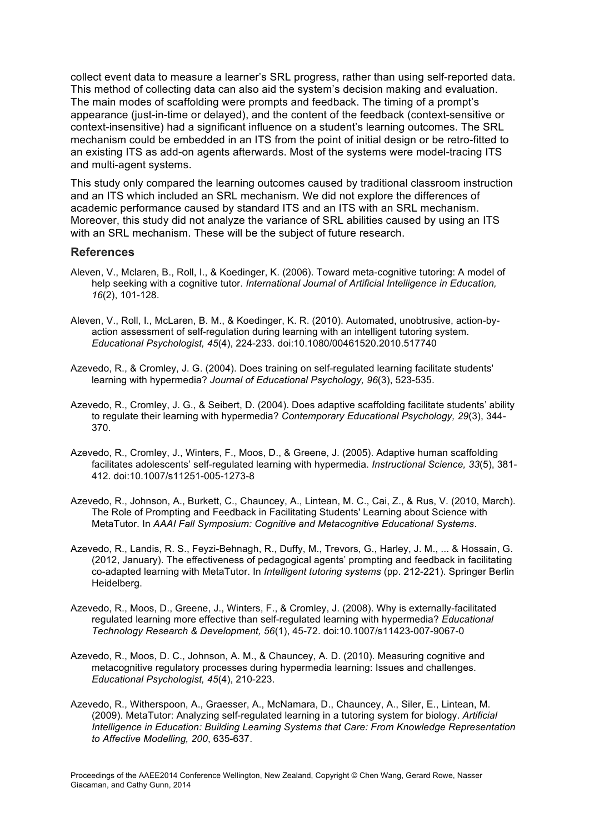collect event data to measure a learner's SRL progress, rather than using self-reported data. This method of collecting data can also aid the system's decision making and evaluation. The main modes of scaffolding were prompts and feedback. The timing of a prompt's appearance (just-in-time or delayed), and the content of the feedback (context-sensitive or context-insensitive) had a significant influence on a student's learning outcomes. The SRL mechanism could be embedded in an ITS from the point of initial design or be retro-fitted to an existing ITS as add-on agents afterwards. Most of the systems were model-tracing ITS and multi-agent systems.

This study only compared the learning outcomes caused by traditional classroom instruction and an ITS which included an SRL mechanism. We did not explore the differences of academic performance caused by standard ITS and an ITS with an SRL mechanism. Moreover, this study did not analyze the variance of SRL abilities caused by using an ITS with an SRL mechanism. These will be the subject of future research.

#### **References**

- Aleven, V., Mclaren, B., Roll, I., & Koedinger, K. (2006). Toward meta-cognitive tutoring: A model of help seeking with a cognitive tutor. *International Journal of Artificial Intelligence in Education, 16*(2), 101-128.
- Aleven, V., Roll, I., McLaren, B. M., & Koedinger, K. R. (2010). Automated, unobtrusive, action-byaction assessment of self-regulation during learning with an intelligent tutoring system. *Educational Psychologist, 45*(4), 224-233. doi:10.1080/00461520.2010.517740
- Azevedo, R., & Cromley, J. G. (2004). Does training on self-regulated learning facilitate students' learning with hypermedia? *Journal of Educational Psychology, 96*(3), 523-535.
- Azevedo, R., Cromley, J. G., & Seibert, D. (2004). Does adaptive scaffolding facilitate students' ability to regulate their learning with hypermedia? *Contemporary Educational Psychology, 29*(3), 344- 370.
- Azevedo, R., Cromley, J., Winters, F., Moos, D., & Greene, J. (2005). Adaptive human scaffolding facilitates adolescents' self-regulated learning with hypermedia. *Instructional Science, 33*(5), 381- 412. doi:10.1007/s11251-005-1273-8
- Azevedo, R., Johnson, A., Burkett, C., Chauncey, A., Lintean, M. C., Cai, Z., & Rus, V. (2010, March). The Role of Prompting and Feedback in Facilitating Students' Learning about Science with MetaTutor. In *AAAI Fall Symposium: Cognitive and Metacognitive Educational Systems*.
- Azevedo, R., Landis, R. S., Feyzi-Behnagh, R., Duffy, M., Trevors, G., Harley, J. M., ... & Hossain, G. (2012, January). The effectiveness of pedagogical agents' prompting and feedback in facilitating co-adapted learning with MetaTutor. In *Intelligent tutoring systems* (pp. 212-221). Springer Berlin Heidelberg.
- Azevedo, R., Moos, D., Greene, J., Winters, F., & Cromley, J. (2008). Why is externally-facilitated regulated learning more effective than self-regulated learning with hypermedia? *Educational Technology Research & Development, 56*(1), 45-72. doi:10.1007/s11423-007-9067-0
- Azevedo, R., Moos, D. C., Johnson, A. M., & Chauncey, A. D. (2010). Measuring cognitive and metacognitive regulatory processes during hypermedia learning: Issues and challenges. *Educational Psychologist, 45*(4), 210-223.
- Azevedo, R., Witherspoon, A., Graesser, A., McNamara, D., Chauncey, A., Siler, E., Lintean, M. (2009). MetaTutor: Analyzing self-regulated learning in a tutoring system for biology. *Artificial Intelligence in Education: Building Learning Systems that Care: From Knowledge Representation to Affective Modelling, 200*, 635-637.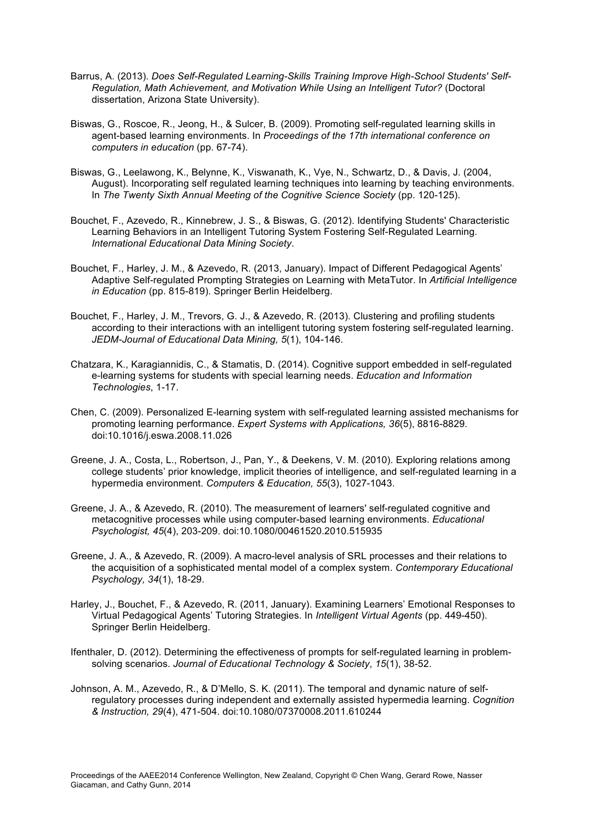- Barrus, A. (2013). *Does Self-Regulated Learning-Skills Training Improve High-School Students' Self-Regulation, Math Achievement, and Motivation While Using an Intelligent Tutor?* (Doctoral dissertation, Arizona State University).
- Biswas, G., Roscoe, R., Jeong, H., & Sulcer, B. (2009). Promoting self-regulated learning skills in agent-based learning environments. In *Proceedings of the 17th international conference on computers in education* (pp. 67-74).
- Biswas, G., Leelawong, K., Belynne, K., Viswanath, K., Vye, N., Schwartz, D., & Davis, J. (2004, August). Incorporating self regulated learning techniques into learning by teaching environments. In *The Twenty Sixth Annual Meeting of the Cognitive Science Society* (pp. 120-125).
- Bouchet, F., Azevedo, R., Kinnebrew, J. S., & Biswas, G. (2012). Identifying Students' Characteristic Learning Behaviors in an Intelligent Tutoring System Fostering Self-Regulated Learning. *International Educational Data Mining Society*.
- Bouchet, F., Harley, J. M., & Azevedo, R. (2013, January). Impact of Different Pedagogical Agents' Adaptive Self-regulated Prompting Strategies on Learning with MetaTutor. In *Artificial Intelligence in Education* (pp. 815-819). Springer Berlin Heidelberg.
- Bouchet, F., Harley, J. M., Trevors, G. J., & Azevedo, R. (2013). Clustering and profiling students according to their interactions with an intelligent tutoring system fostering self-regulated learning. *JEDM-Journal of Educational Data Mining, 5*(1), 104-146.
- Chatzara, K., Karagiannidis, C., & Stamatis, D. (2014). Cognitive support embedded in self-regulated e-learning systems for students with special learning needs. *Education and Information Technologies*, 1-17.
- Chen, C. (2009). Personalized E-learning system with self-regulated learning assisted mechanisms for promoting learning performance. *Expert Systems with Applications, 36*(5), 8816-8829. doi:10.1016/j.eswa.2008.11.026
- Greene, J. A., Costa, L., Robertson, J., Pan, Y., & Deekens, V. M. (2010). Exploring relations among college students' prior knowledge, implicit theories of intelligence, and self-regulated learning in a hypermedia environment. *Computers & Education, 55*(3), 1027-1043.
- Greene, J. A., & Azevedo, R. (2010). The measurement of learners' self-regulated cognitive and metacognitive processes while using computer-based learning environments. *Educational Psychologist, 45*(4), 203-209. doi:10.1080/00461520.2010.515935
- Greene, J. A., & Azevedo, R. (2009). A macro-level analysis of SRL processes and their relations to the acquisition of a sophisticated mental model of a complex system. *Contemporary Educational Psychology, 34*(1), 18-29.
- Harley, J., Bouchet, F., & Azevedo, R. (2011, January). Examining Learners' Emotional Responses to Virtual Pedagogical Agents' Tutoring Strategies. In *Intelligent Virtual Agents* (pp. 449-450). Springer Berlin Heidelberg.
- Ifenthaler, D. (2012). Determining the effectiveness of prompts for self-regulated learning in problemsolving scenarios. *Journal of Educational Technology & Society*, *15*(1), 38-52.
- Johnson, A. M., Azevedo, R., & D'Mello, S. K. (2011). The temporal and dynamic nature of selfregulatory processes during independent and externally assisted hypermedia learning. *Cognition & Instruction, 29*(4), 471-504. doi:10.1080/07370008.2011.610244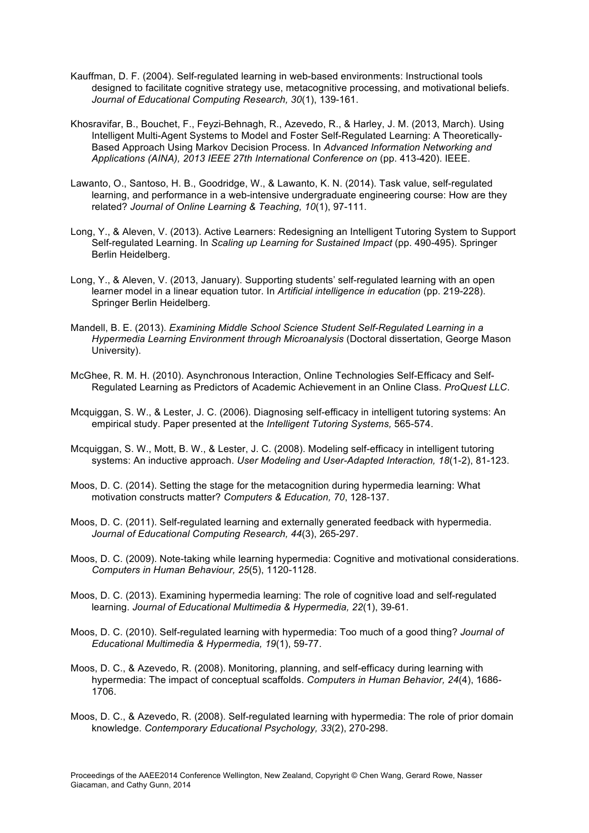- Kauffman, D. F. (2004). Self-regulated learning in web-based environments: Instructional tools designed to facilitate cognitive strategy use, metacognitive processing, and motivational beliefs. *Journal of Educational Computing Research, 30*(1), 139-161.
- Khosravifar, B., Bouchet, F., Feyzi-Behnagh, R., Azevedo, R., & Harley, J. M. (2013, March). Using Intelligent Multi-Agent Systems to Model and Foster Self-Regulated Learning: A Theoretically-Based Approach Using Markov Decision Process. In *Advanced Information Networking and Applications (AINA), 2013 IEEE 27th International Conference on* (pp. 413-420). IEEE.
- Lawanto, O., Santoso, H. B., Goodridge, W., & Lawanto, K. N. (2014). Task value, self-regulated learning, and performance in a web-intensive undergraduate engineering course: How are they related? *Journal of Online Learning & Teaching, 10*(1), 97-111.
- Long, Y., & Aleven, V. (2013). Active Learners: Redesigning an Intelligent Tutoring System to Support Self-regulated Learning. In *Scaling up Learning for Sustained Impact* (pp. 490-495). Springer Berlin Heidelberg.
- Long, Y., & Aleven, V. (2013, January). Supporting students' self-regulated learning with an open learner model in a linear equation tutor. In *Artificial intelligence in education* (pp. 219-228). Springer Berlin Heidelberg.
- Mandell, B. E. (2013). *Examining Middle School Science Student Self-Regulated Learning in a Hypermedia Learning Environment through Microanalysis* (Doctoral dissertation, George Mason University).
- McGhee, R. M. H. (2010). Asynchronous Interaction, Online Technologies Self-Efficacy and Self-Regulated Learning as Predictors of Academic Achievement in an Online Class. *ProQuest LLC*.
- Mcquiggan, S. W., & Lester, J. C. (2006). Diagnosing self-efficacy in intelligent tutoring systems: An empirical study. Paper presented at the *Intelligent Tutoring Systems,* 565-574.
- Mcquiggan, S. W., Mott, B. W., & Lester, J. C. (2008). Modeling self-efficacy in intelligent tutoring systems: An inductive approach. *User Modeling and User-Adapted Interaction, 18*(1-2), 81-123.
- Moos, D. C. (2014). Setting the stage for the metacognition during hypermedia learning: What motivation constructs matter? *Computers & Education, 70*, 128-137.
- Moos, D. C. (2011). Self-regulated learning and externally generated feedback with hypermedia. *Journal of Educational Computing Research, 44*(3), 265-297.
- Moos, D. C. (2009). Note-taking while learning hypermedia: Cognitive and motivational considerations. *Computers in Human Behaviour, 25*(5), 1120-1128.
- Moos, D. C. (2013). Examining hypermedia learning: The role of cognitive load and self-regulated learning. *Journal of Educational Multimedia & Hypermedia, 22*(1), 39-61.
- Moos, D. C. (2010). Self-regulated learning with hypermedia: Too much of a good thing? *Journal of Educational Multimedia & Hypermedia, 19*(1), 59-77.
- Moos, D. C., & Azevedo, R. (2008). Monitoring, planning, and self-efficacy during learning with hypermedia: The impact of conceptual scaffolds. *Computers in Human Behavior, 24*(4), 1686- 1706.
- Moos, D. C., & Azevedo, R. (2008). Self-regulated learning with hypermedia: The role of prior domain knowledge. *Contemporary Educational Psychology, 33*(2), 270-298.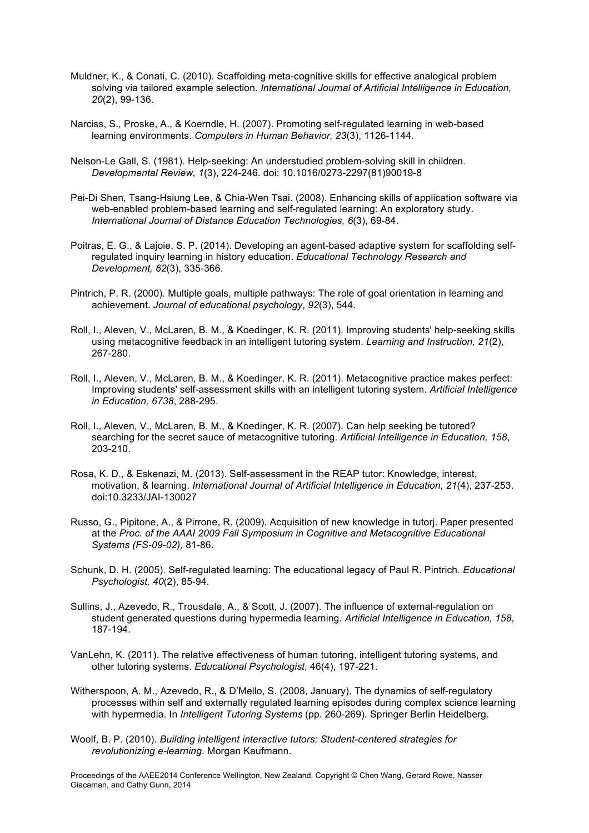- Muldner, K., & Conati, C. (2010). Scaffolding meta-cognitive skills for effective analogical problem solving via tailored example selection. *International Journal of Artificial Intelligence in Education, 20*(2), 99-136.
- Narciss, S., Proske, A., & Koerndle, H. (2007). Promoting self-regulated learning in web-based learning environments. *Computers in Human Behavior, 23*(3), 1126-1144.
- Nelson-Le Gall, S. (1981). Help-seeking: An understudied problem-solving skill in children. *Developmental Review, 1*(3), 224-246. doi: 10.1016/0273-2297(81)90019-8
- Pei-Di Shen, Tsang-Hsiung Lee, & Chia-Wen Tsai. (2008). Enhancing skills of application software via web-enabled problem-based learning and self-regulated learning: An exploratory study. *International Journal of Distance Education Technologies, 6*(3), 69-84.
- Poitras, E. G., & Lajoie, S. P. (2014). Developing an agent-based adaptive system for scaffolding selfregulated inquiry learning in history education. *Educational Technology Research and Development, 62*(3), 335-366.
- Pintrich, P. R. (2000). Multiple goals, multiple pathways: The role of goal orientation in learning and achievement. *Journal of educational psychology*, *92*(3), 544.
- Roll, I., Aleven, V., McLaren, B. M., & Koedinger, K. R. (2011). Improving students' help-seeking skills using metacognitive feedback in an intelligent tutoring system. *Learning and Instruction, 21*(2), 267-280.
- Roll, I., Aleven, V., McLaren, B. M., & Koedinger, K. R. (2011). Metacognitive practice makes perfect: Improving students' self-assessment skills with an intelligent tutoring system. *Artificial Intelligence in Education, 6738*, 288-295.
- Roll, I., Aleven, V., McLaren, B. M., & Koedinger, K. R. (2007). Can help seeking be tutored? searching for the secret sauce of metacognitive tutoring. *Artificial Intelligence in Education, 158*, 203-210.
- Rosa, K. D., & Eskenazi, M. (2013). Self-assessment in the REAP tutor: Knowledge, interest, motivation, & learning. *International Journal of Artificial Intelligence in Education, 21*(4), 237-253. doi:10.3233/JAI-130027
- Russo, G., Pipitone, A., & Pirrone, R. (2009). Acquisition of new knowledge in tutorj. Paper presented at the *Proc. of the AAAI 2009 Fall Symposium in Cognitive and Metacognitive Educational Systems (FS-09-02),* 81-86.
- Schunk, D. H. (2005). Self-regulated learning: The educational legacy of Paul R. Pintrich. *Educational Psychologist, 40*(2), 85-94.
- Sullins, J., Azevedo, R., Trousdale, A., & Scott, J. (2007). The influence of external-regulation on student generated questions during hypermedia learning. *Artificial Intelligence in Education, 158*, 187-194.
- VanLehn, K. (2011). The relative effectiveness of human tutoring, intelligent tutoring systems, and other tutoring systems. *Educational Psychologist*, 46(4), 197-221.
- Witherspoon, A. M., Azevedo, R., & D'Mello, S. (2008, January). The dynamics of self-regulatory processes within self and externally regulated learning episodes during complex science learning with hypermedia. In *Intelligent Tutoring Systems* (pp. 260-269). Springer Berlin Heidelberg.
- Woolf, B. P. (2010). *Building intelligent interactive tutors: Student-centered strategies for revolutionizing e-learning*. Morgan Kaufmann.